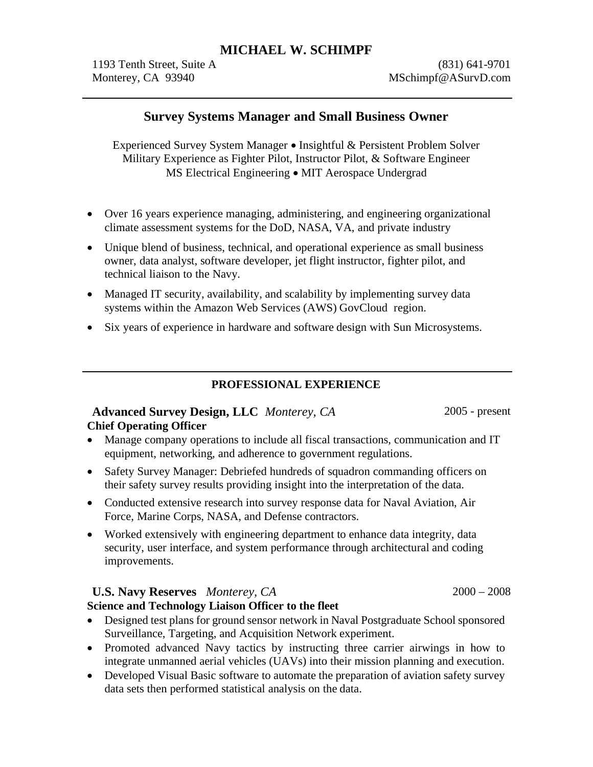1193 Tenth Street, Suite A (831) 641-9701 Monterey, CA 93940 MSchimpf@ASurvD.com

## **Survey Systems Manager and Small Business Owner**

Experienced Survey System Manager � Insightful & Persistent Problem Solver Military Experience as Fighter Pilot, Instructor Pilot, & Software Engineer MS Electrical Engineering � MIT Aerospace Undergrad

- � Over 16 years experience managing, administering, and engineering organizational climate assessment systems for the DoD, NASA, VA, and private industry
- � Unique blend of business, technical, and operational experience as small business owner, data analyst, software developer, jet flight instructor, fighter pilot, and technical liaison to the Navy.
- Managed IT security, availability, and scalability by implementing survey data systems within the Amazon Web Services (AWS) GovCloud region.
- � Six years of experience in hardware and software design with Sun Microsystems.

### **PROFESSIONAL EXPERIENCE**

### **Advanced Survey Design, LLC** *Monterey, CA* 2005 - present **Chief Operating Officer**

- � Manage company operations to include all fiscal transactions, communication and IT equipment, networking, and adherence to government regulations.
- � Safety Survey Manager: Debriefed hundreds of squadron commanding officers on their safety survey results providing insight into the interpretation of the data.
- Conducted extensive research into survey response data for Naval Aviation, Air Force, Marine Corps, NASA, and Defense contractors.
- � Worked extensively with engineering department to enhance data integrity, data security, user interface, and system performance through architectural and coding improvements.

### **U.S. Navy Reserves** *Monterey, CA* 2000 – 2008

### **Science and Technology Liaison Officer to the fleet**

- Designed test plans for ground sensor network in Naval Postgraduate School sponsored Surveillance, Targeting, and Acquisition Network experiment.
- � Promoted advanced Navy tactics by instructing three carrier airwings in how to integrate unmanned aerial vehicles (UAVs) into their mission planning and execution.
- Developed Visual Basic software to automate the preparation of aviation safety survey data sets then performed statistical analysis on the data.